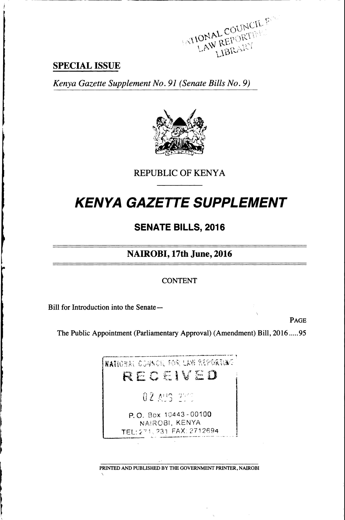

## **SPECIAL ISSUE**

Kenya Gazette Supplement No. 91 (Senate Bills No. 9)



**REPUBLIC OF KENYA** 

# **KENYA GAZETTE SUPPLEMENT**

# **SENATE BILLS, 2016**

## NAIROBI, 17th June, 2016

## **CONTENT**

Bill for Introduction into the Senate-

PAGE

The Public Appointment (Parliamentary Approval) (Amendment) Bill, 2016.....95

NATIORAL COUNCIL FOR LAW REPORTING RECEIVED 02 AS 2/0 P.O. Box 10443-00100 NAIROBI, KENYA TEL: 271, 231 FAX: 2712694

PRINTED AND PUBLISHED BY THE GOVERNMENT PRINTER, NAIROBI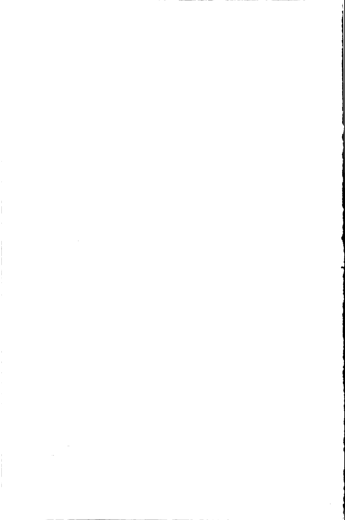$\label{eq:2.1} \frac{1}{\sqrt{2\pi}}\int_{0}^{\pi} \frac{d\mu}{\sqrt{2\pi}}\,d\mu\,d\mu\,.$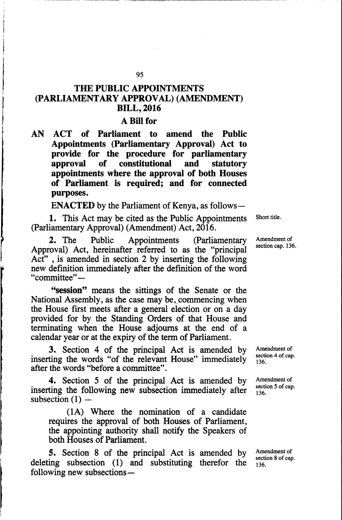## THE PUBLIC APPOINTMENTS (PARLIAMENTARY APPROVAL) (AMENDMENT) BILL,2016

#### A Bill for

AN ACT of Parliament to amend the Public Appointments (Parliamentary Approval) Act to provide for the procedure for parliamentary<br>approval of constitutional and statutory of constitutional and statutory appointments where the approval of both Houses of Parliament is required; and for connected purposes.

ENACTED by the Parliament of Kenya, as follows-

1. This Act may be cited as the Public Appointments (Parliamentary Approval) (Amendment) Act, 2016 .

2. The Public Appointments (Parliamentary Approval) Act, hereinafter referred to as the "principal Act" , is amended in section 2 by inserting the following new definition immediately after the definition of the word "committee"-

"session" means the sittings of the Senate or the National Assembly, as the case may be, commencing when the House first meets after a general election or on a day provided for by the Standing Orders of that House and terminating when the House adjourng at the end of <sup>a</sup> calendar year or at the expiry of the term of Parliament.

3. Section 4 of the principal Act is amended by inserting the words "of the relevant House" immediately after the words "before a committee".

4, Section 5 of the principal Act is amended by inserting the following new subsection immediately after subsection  $(1)$  –

(1A) Where the nomination of a candidate requires the approval of both Houses of Parliament, the appointing authority shall notify the Speakers of both Houses of Parliament.

5. Section 8 of the principal Act is amended by deleting subsection (1) and substituting therefor the following new subsections —

Short title.

Amendment of section cap. 136.

Amendment of section 4 of cap. 136.

Amendment of section 5 of cap. 136.

Amendment of section 8 of cap. 136.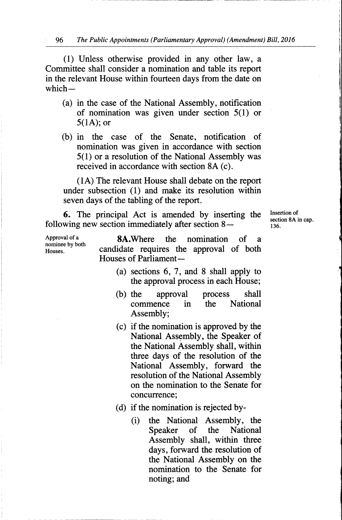(1) Unless otherwise provided in any other law, a Committee shall consider a nomination and table its report in the relevant House within fourteen days from the date on  $which -$ 

- (a) in the case of the National Assembly, notification of nomination was given under section 5(1) or 5(1A); or
- (b) in the case of the Senate, notification of nomination was given in accordance with section 5(1) or a resolution of the National Assembly was received in accordance with section 8A (c).

(1A) The relevant House shall debate on the report under subsection (1) and make its resolution within seven days of the tabling of the report.

6. The principal Act is amended by inserting the following new section immediately after section 8Insertion of section 8A in cap. I 36.

Approval of a nominee by both Houses.

SA.Where the nomination of <sup>a</sup> candidate requires the approval of both Houses of Parliament-

- (a) sections  $6, 7$ , and  $8$  shall apply to the approval process in each House;
- (b) the approval process shall<br>commence in the National commence in Assembly;
- (c) if the nomination is approved by the National Assembly, the Speaker of the National Assembly shall, within three days of the resolution of the National Assembly, forward the resolution of the National Assembly on the nomination to the Senate for concurrence;
- (d) if the nomination is rejected by-
	- (i) the National Assembly, the Speaker of the National Assembly shall, within three days, forward the resolution of the National Assembly on the nomination to the Senate for noting; and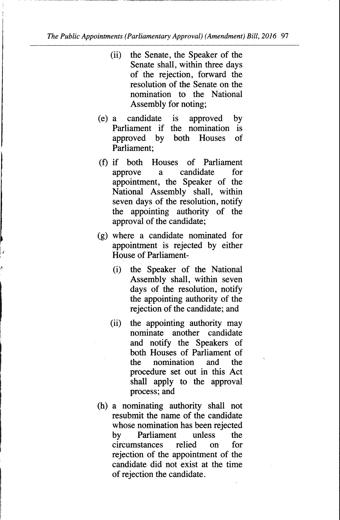The Public Appointments (Parliamentary Approval) (Amendment) Bill,2016 97

- (ii) the Senate, the Speaker of the Senate shall, within three days of the rejection, forward the resolution of the Senate on the nomination to the National Assembly for noting;
- (e) a candidate is approved by Parliament if the nomination is approved by both Houses of Parliament;
- (f) if both Houses of Parliament approve a candidate for appointment, the Speaker of the National Assembly shall, within seven days of the resolution, notify the appointing authority of the approval of the candidate;
- where a candidate nominated for (g) appointment is rejected by either House of Parliament-
	- (i) the Speaker of the National Assembly shall, within seven days of the resolution, notify the appointing authority of the rejection of the candidate; and
	- (ii) the appointing authority may nominate another candidate and notify the Speakers of both Houses of Parliament of the nomination and the procedure set out in this Act shall apply to the approval process; and
- (h) a nominating authority shall not resubmit the name of the candidate whose nomination has been rejected by Parliament unless the<br>circumstances relied on for circumstances relied on for rejection of the appointment of the candidate did not exist at the time of rejection the candidate.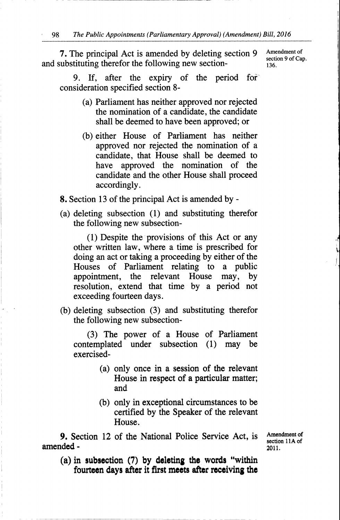<sup>7</sup>. The principal Act is amended by deleting section 9 and substituting therefor the following new sectionAmendment of section 9 of Cap. 136.

9. If, after the expiry of the period fof consideration specified section 8-

- (a) Parliament has neither approved nor rejected the nomination of a candidate, the candidate shall be deemed to have been approved; or
- (b) either House of Parliament has neither approved nor rejected the nomination of <sup>a</sup> candidate, that House shall be deemed to have approved the nomination of the candidate and the other House shall proceed accordingly.

8. Section 13 of the principal Act is amended by -

(a) deleting subsection (1) and substituting therefor the following new subsection-

(1) Despite the provisions of this Act or any other written law, where a time is prescribed for doing an act or taking a proceeding by either of the Houses of Parliament relating to a public appointment, the relevant House may, by resolution, extend that time by a period not exceeding fourteen days.

(b) deleting subsection (3) and substituting therefor the following new subsection-

(3) The power of a House of Parliament contemplated under subsection (1) may be exercised-

- (a) only once in a session of the relevant House in respect of a particular matter;<br>and
- (b) only in exceptional circumstances to be House. certified by the Speaker of the relevant

9, Section 12 of the National Police Service Act, is amended -

Amendment of section 11A of 2011.

(a) in subsection  $(7)$  by deleting the words "within fourteen days after it first meets after receiving the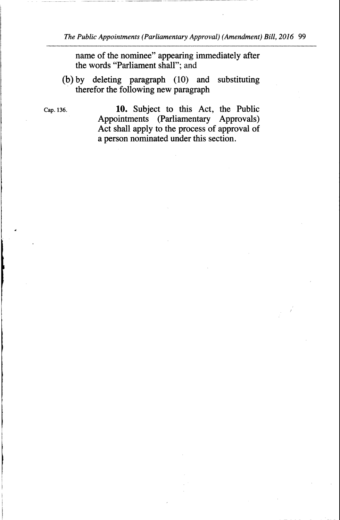The Public Appointments (Parliamentary Approval) (Amendment) Bill,2016 99

name of the nominee" appearing immediately after the words "Parliament shall"; and

(b) bV deleting paragraph (10) and substituting therefor the following new paragraph

Cap. 136.

10. Subject to this Act, the Public Appointments (Parliamentary Approvals) Act shall apply to the process of approval of a person nominated under this section.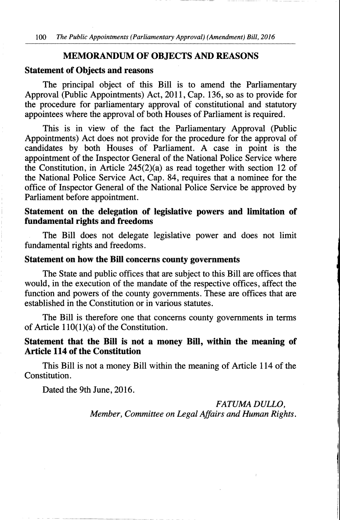#### MEMORANDUM OF OBJECTS AND REASONS

#### Statement of Objects and reasons

The principal object of this Bill is to amend the Parliamentary Approval (Public Appointments) Act, 2011, Cap. 136, so as to provide for the procedure for parliamentary approval of constitutional and statutory appointees where the approval of both Houses of Parliament is required.

This is in view of the fact the Parliamentary Approval (Public Appointments) Act does not provide for the procedure for the approval of candidates by both Houses of Parliament. A case in point is the appointment of the Inspector General of the National Police Service where the Constitution, in Article  $245(2)(a)$  as read together with section 12 of the National Police Service Act, Cap. 84, requires that a nominee for the office of Inspector General of the National Police Service be approved by Parliament before appointment.

## Statement on the delegation of legislative powers and limitation of fundamental rights and freedoms

The Bill does not delegate legislative power and does not limit fundamental rights and freedoms.

## Statement on how the Bill concerns county govemments

The State and public offices that are subject to this Bill are offices that would, in the execution of the mandate of the respective offices, affect the function and powers of the county governments. These are offices that are established in the Constitution or in various statutes.

The Bill is therefore one that concerns county governments in terms of Article  $110(1)(a)$  of the Constitution.

## Statement that the Bill is not a money BiIl, within the meaning of Article 114 of the Constitution

This Bill is not a money Bill within the meaning of Article 114 of the Constitution.

Dated the 9th June, 2016.

FATUMA DULLO. Member, Committee on Legal Affairs and Human Rights.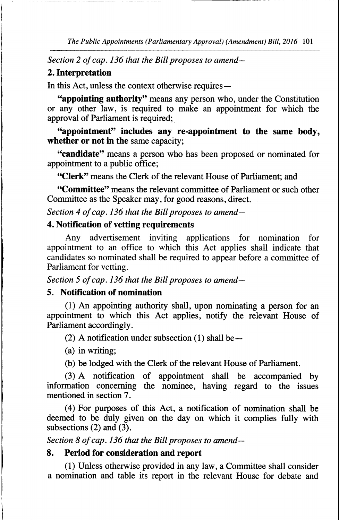Section 2 of cap. 136 that the Bill proposes to amend-

#### 2. Interpretation

In this Act, unless the context otherwise requires—

"appointing authority" means any person who, under the Constitution or any other law, is required to make an appointment for which the approval of Parliament is required;

"appointment" includes any re-appointment to the same body, whether or not in the same capacity:

"candidate" means a person who has been proposed or nominated for appointment to a public office;

"Clerk" means the Clerk of the relevant House of Parliament; and

"Committee" means the relevant committee of Parliament or such other Committee as the Speaker may, for good reasons, direct.

Section 4 of cap. 136 that the Bill proposes to amend-

#### 4. Notification of vetting requirements

Any advertisement inviting applications for nomination for appointment to an office to which this Act applies shall indicate that candidates so nominated shall be required to appear before a committee of Parliament for vetting.

Section 5 of cap. 136 that the Bill proposes to amend-

### 5. Notification of nomination

(l) An appointing authority shall, upon nominating a person for an appointment to which this Act applies, notify the relevant House of Parliament accordingly.

(2) A notification under subsection  $(1)$  shall be -

(a) in writing;

(b) be lodged with the Clerk of the relevant House of Parliament.

(3) A notification of appointment shall be accompanied by information concerning the nominee, having regard to the issues mentioned in section 7.

(4) For purposes of this Act, a notification of nomination shall be deemed to be duly given on the day on which it complies fully with subsections  $(2)$  and  $(3)$ .

Section 8 of cap. 136 that the Bill proposes to amend-

#### 8. Period for consideration and report

(1) Unless otherwise provided in any Iaw, a Committee shall consider a nomination and table its report in the relevant House for debate and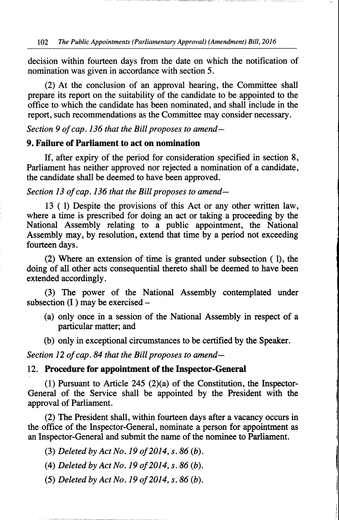decision within fourteen days from the date on which the notification of nomination was given in accordance with section 5.

(2) At the conclusion of an approval hearing, the Committee shall prepare its report on the suitability of the candidate to be appointed to the office to which the candidate has been nominated, and shall include in the report, such recommendations as the Committee may consider necessary.

Section 9 of cap. 136 that the Bill proposes to amend-

#### 9. Failure of Parliament to act on nomination

If, after expiry of the period for consideration specified in section 8, Parliament has neither approved nor rejected a nomination of a candidate, the candidate shall be deemed to have been approved.

Section 13 of cap. 136 that the Bill proposes to amend-

13 ( 1) Despite the provisions of this Act or any other written law, where a time is prescribed for doing an act or taking a proceeding by the National Assembly relating to a public appointment, the National Assembly may, by resolution, extend that time by a period not exceeding fourteen days.

(2) Where an extension of time is granted under subsection ( l), the doing of all other acts consequential thereto shall be deemed to have been extended accordingly.

(3) The power of the National Assembly contemplated under subsection  $(I)$  may be exercised  $-$ 

- (a) only once in a session of the National Assembly in respect of a particular matter; and
- (b) only in exceptional circumstances to be certified by the Speaker.

Section 12 of cap. 84 that the Bill proposes to amend-

#### 12. Procedure for appointment of the Inspector-General

(1) Pursuant to Article 245  $(2)(a)$  of the Constitution, the Inspector-General of the Service shall be appointed by the President with the approval of Parliament.

(2) The President shall, within fourteen days after a vacancy occurs in the office of the Inspector-General, nominate a person for appointment as an Inspector-General and submit the name of the nominee to Parliament.

(3) Deleted by Act No. 19 of 2014, s. 86 (b).

(4) Deleted by Act No. 19 of 2014, s. 86 (b).

(5) Deleted by Act No. 19 of 2014, s. 86 (b).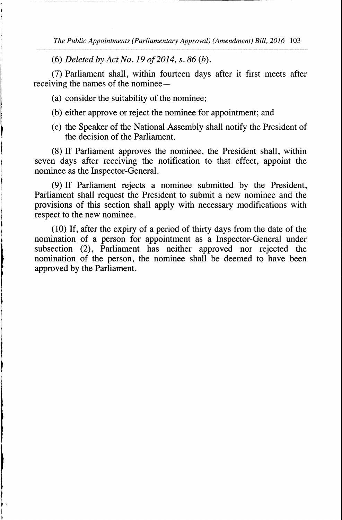The Public Appointments (Parliamentary Approval) (Amendment) Bill, 2016 103

(6) Deleted by Act No. 19 of 2014, s. 86 (b).

(7) Parliament shall, within fourteen days after it first meets after receiving the names of the nominee-

(a) consider the suitability of the nominee;

- (b) either approve or reject the nominee for appointment; and
- (c) the Speaker of the National Assembly shall notify the President of the decision of the Parliament.

(8) If Parliament approves the nominee, the President shall, within seven days after receiving the notification to that effect, appoint the nominee as the Inspector-General.

(9) If Parliament rejects a nominee submitted by the President, Parliament shall request the President to submit a new nominee and the provisions of this section shall apply with necessary modifications with respect to the new nominee.

(10) If, after the expry of a period of thirty days from the date of the nomination of a person for appointment as a Inspector-General under subsection (2), Parliament has neither approved nor rejected the nomination of the person, the nominee shall be deemed to have been approved by the Parliament.